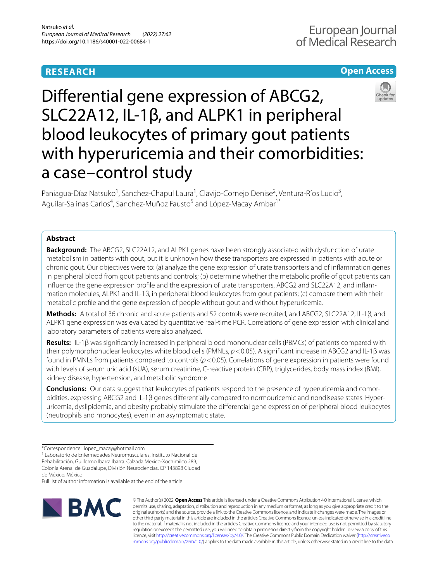# **RESEARCH**

# **Open Access**



Diferential gene expression of ABCG2, SLC22A12, IL-1β, and ALPK1 in peripheral blood leukocytes of primary gout patients with hyperuricemia and their comorbidities: a case–control study

Paniagua-Díaz Natsuko<sup>1</sup>, Sanchez-Chapul Laura<sup>1</sup>, Clavijo-Cornejo Denise<sup>2</sup>, Ventura-Ríos Lucio<sup>3</sup>, Aguilar-Salinas Carlos<sup>4</sup>, Sanchez-Muñoz Fausto<sup>5</sup> and López-Macay Ambar<sup>1\*</sup>

## **Abstract**

**Background:** The ABCG2, SLC22A12, and ALPK1 genes have been strongly associated with dysfunction of urate metabolism in patients with gout, but it is unknown how these transporters are expressed in patients with acute or chronic gout. Our objectives were to: (a) analyze the gene expression of urate transporters and of infammation genes in peripheral blood from gout patients and controls; (b) determine whether the metabolic profle of gout patients can influence the gene expression profile and the expression of urate transporters, ABCG2 and SLC22A12, and inflammation molecules, ALPK1 and IL-1β, in peripheral blood leukocytes from gout patients; (c) compare them with their metabolic profle and the gene expression of people without gout and without hyperuricemia.

**Methods:** A total of 36 chronic and acute patients and 52 controls were recruited, and ABCG2, SLC22A12, IL-1β, and ALPK1 gene expression was evaluated by quantitative real-time PCR. Correlations of gene expression with clinical and laboratory parameters of patients were also analyzed.

**Results:** IL-1β was signifcantly increased in peripheral blood mononuclear cells (PBMCs) of patients compared with their polymorphonuclear leukocytes white blood cells (PMNLs, *p*<0.05). A signifcant increase in ABCG2 and IL-1β was found in PMNLs from patients compared to controls (*p*<0.05). Correlations of gene expression in patients were found with levels of serum uric acid (sUA), serum creatinine, C-reactive protein (CRP), triglycerides, body mass index (BMI), kidney disease, hypertension, and metabolic syndrome.

**Conclusions:** Our data suggest that leukocytes of patients respond to the presence of hyperuricemia and comorbidities, expressing ABCG2 and IL-1β genes differentially compared to normouricemic and nondisease states. Hyperuricemia, dyslipidemia, and obesity probably stimulate the diferential gene expression of peripheral blood leukocytes (neutrophils and monocytes), even in an asymptomatic state.

de México, México

Full list of author information is available at the end of the article



© The Author(s) 2022. **Open Access** This article is licensed under a Creative Commons Attribution 4.0 International License, which permits use, sharing, adaptation, distribution and reproduction in any medium or format, as long as you give appropriate credit to the original author(s) and the source, provide a link to the Creative Commons licence, and indicate if changes were made. The images or other third party material in this article are included in the article's Creative Commons licence, unless indicated otherwise in a credit line to the material. If material is not included in the article's Creative Commons licence and your intended use is not permitted by statutory regulation or exceeds the permitted use, you will need to obtain permission directly from the copyright holder. To view a copy of this licence, visit [http://creativecommons.org/licenses/by/4.0/.](http://creativecommons.org/licenses/by/4.0/) The Creative Commons Public Domain Dedication waiver ([http://creativeco](http://creativecommons.org/publicdomain/zero/1.0/) [mmons.org/publicdomain/zero/1.0/](http://creativecommons.org/publicdomain/zero/1.0/)) applies to the data made available in this article, unless otherwise stated in a credit line to the data.

<sup>\*</sup>Correspondence: lopez\_macay@hotmail.com

<sup>&</sup>lt;sup>1</sup> Laboratorio de Enfermedades Neuromusculares, Instituto Nacional de Rehabilitación, Guillermo Ibarra Ibarra. Calzada Mexico-Xochimilco 289, Colonia Arenal de Guadalupe, División Neurociencias, CP 143898 Ciudad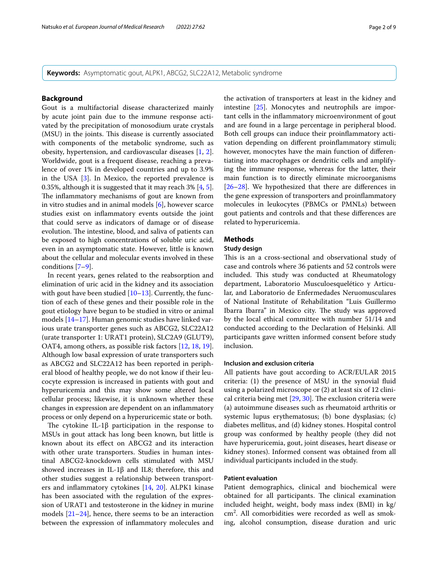**Keywords:** Asymptomatic gout, ALPK1, ABCG2, SLC22A12, Metabolic syndrome

### **Background**

Gout is a multifactorial disease characterized mainly by acute joint pain due to the immune response activated by the precipitation of monosodium urate crystals (MSU) in the joints. This disease is currently associated with components of the metabolic syndrome, such as obesity, hypertension, and cardiovascular diseases [[1,](#page-7-0) [2](#page-8-0)]. Worldwide, gout is a frequent disease, reaching a prevalence of over 1% in developed countries and up to 3.9% in the USA [\[3](#page-8-1)]. In Mexico, the reported prevalence is 0.35%, although it is suggested that it may reach 3% [[4,](#page-8-2) [5](#page-8-3)]. The inflammatory mechanisms of gout are known from in vitro studies and in animal models [[6\]](#page-8-4), however scarce studies exist on infammatory events outside the joint that could serve as indicators of damage or of disease evolution. The intestine, blood, and saliva of patients can be exposed to high concentrations of soluble uric acid, even in an asymptomatic state. However, little is known about the cellular and molecular events involved in these conditions [\[7](#page-8-5)[–9](#page-8-6)].

In recent years, genes related to the reabsorption and elimination of uric acid in the kidney and its association with gout have been studied  $[10-13]$  $[10-13]$  $[10-13]$ . Currently, the function of each of these genes and their possible role in the gout etiology have begun to be studied in vitro or animal models [[14](#page-8-9)[–17](#page-8-10)]. Human genomic studies have linked various urate transporter genes such as ABCG2, SLC22A12 (urate transporter 1: URAT1 protein), SLC2A9 (GLUT9), OAT4, among others, as possible risk factors [\[12,](#page-8-11) [18](#page-8-12), [19](#page-8-13)]. Although low basal expression of urate transporters such as ABCG2 and SLC22A12 has been reported in peripheral blood of healthy people, we do not know if their leucocyte expression is increased in patients with gout and hyperuricemia and this may show some altered local cellular process; likewise, it is unknown whether these changes in expression are dependent on an infammatory process or only depend on a hyperuricemic state or both.

The cytokine IL-1 $\beta$  participation in the response to MSUs in gout attack has long been known, but little is known about its efect on ABCG2 and its interaction with other urate transporters. Studies in human intestinal ABCG2-knockdown cells stimulated with MSU showed increases in IL-1β and IL8; therefore, this and other studies suggest a relationship between transporters and infammatory cytokines [[14](#page-8-9), [20](#page-8-14)]. ALPK1 kinase has been associated with the regulation of the expression of URAT1 and testosterone in the kidney in murine models [[21](#page-8-15)[–24](#page-8-16)], hence, there seems to be an interaction between the expression of infammatory molecules and the activation of transporters at least in the kidney and intestine [\[25](#page-8-17)]. Monocytes and neutrophils are important cells in the infammatory microenvironment of gout and are found in a large percentage in peripheral blood. Both cell groups can induce their proinfammatory activation depending on diferent proinfammatory stimuli; however, monocytes have the main function of diferentiating into macrophages or dendritic cells and amplifying the immune response, whereas for the latter, their main function is to directly eliminate microorganisms [[26–](#page-8-18)[28\]](#page-8-19). We hypothesized that there are diferences in the gene expression of transporters and proinfammatory molecules in leukocytes (PBMCs or PMNLs) between gout patients and controls and that these diferences are related to hyperuricemia.

### **Methods**

### **Study design**

This is an a cross-sectional and observational study of case and controls where 36 patients and 52 controls were included. This study was conducted at Rheumatology department, Laboratorio Musculoesquelético y Articular, and Laboratorio de Enfermedades Neruomusculares of National Institute of Rehabilitation "Luis Guillermo Ibarra Ibarra" in Mexico city. The study was approved by the local ethical committee with number 51/14 and conducted according to the Declaration of Helsinki. All participants gave written informed consent before study inclusion.

### **Inclusion and exclusion criteria**

All patients have gout according to ACR/EULAR 2015 criteria: (1) the presence of MSU in the synovial fuid using a polarized microscope or (2) at least six of 12 clinical criteria being met  $[29, 30]$  $[29, 30]$  $[29, 30]$  $[29, 30]$ . The exclusion criteria were (a) autoimmune diseases such as rheumatoid arthritis or systemic lupus erythematosus; (b) bone dysplasias; (c) diabetes mellitus, and (d) kidney stones. Hospital control group was conformed by healthy people (they did not have hyperuricemia, gout, joint diseases, heart disease or kidney stones). Informed consent was obtained from all individual participants included in the study.

#### **Patient evaluation**

Patient demographics, clinical and biochemical were obtained for all participants. The clinical examination included height, weight, body mass index (BMI) in kg/ cm2 . All comorbidities were recorded as well as smoking, alcohol consumption, disease duration and uric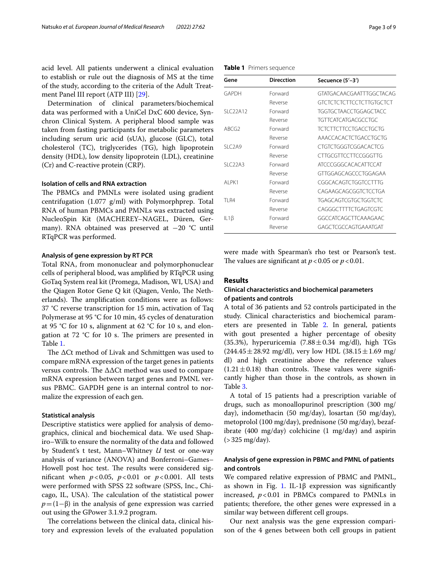acid level. All patients underwent a clinical evaluation to establish or rule out the diagnosis of MS at the time of the study, according to the criteria of the Adult Treatment Panel III report (ATP III) [[29\]](#page-8-20).

Determination of clinical parameters/biochemical data was performed with a UniCel DxC 600 device, Synchron Clinical System. A peripheral blood sample was taken from fasting participants for metabolic parameters including serum uric acid (sUA), glucose (GLC), total cholesterol (TC), triglycerides (TG), high lipoprotein density (HDL), low density lipoprotein (LDL), creatinine (Cr) and C-reactive protein (CRP).

### **Isolation of cells and RNA extraction**

The PBMCs and PMNLs were isolated using gradient centrifugation (1.077 g/ml) with Polymorphprep. Total RNA of human PBMCs and PMNLs was extracted using NucleoSpin Kit (MACHEREY–NAGEL, Düren, Germany). RNA obtained was preserved at −20 °C until RTqPCR was performed.

#### **Analysis of gene expression by RT PCR**

Total RNA, from mononuclear and polymorphonuclear cells of peripheral blood, was amplifed by RTqPCR using GoTaq System real kit (Promega, Madison, WI, USA) and the Qiagen Rotor Gene Q kit (Qiagen, Venlo, The Netherlands). The amplification conditions were as follows: 37 °C reverse transcription for 15 min, activation of Taq Polymerase at 95 °C for 10 min, 45 cycles of denaturation at 95 °C for 10 s, alignment at 62 °C for 10 s, and elongation at  $72 \text{ °C}$  for 10 s. The primers are presented in Table [1](#page-2-0).

The  $\Delta$ Ct method of Livak and Schmittgen was used to compare mRNA expression of the target genes in patients versus controls. The  $\Delta\Delta Ct$  method was used to compare mRNA expression between target genes and PMNL versus PBMC. GAPDH gene is an internal control to normalize the expression of each gen.

#### **Statistical analysis**

Descriptive statistics were applied for analysis of demographics, clinical and biochemical data. We used Shapiro–Wilk to ensure the normality of the data and followed by Student's t test, Mann–Whitney *U* test or one-way analysis of variance (ANOVA) and Bonferroni–Games– Howell post hoc test. The results were considered signifcant when *p*<0.05, *p*<0.01 or *p*<0.001. All tests were performed with SPSS 22 software (SPSS, Inc., Chicago, IL, USA). The calculation of the statistical power  $p=(1-\beta)$  in the analysis of gene expression was carried out using the GPower 3.1.9.2 program.

The correlations between the clinical data, clinical history and expression levels of the evaluated population

<span id="page-2-0"></span>

|  |  | Table 1 Primers sequence |
|--|--|--------------------------|
|--|--|--------------------------|

| Gene              | <b>Direcction</b> | Secuence (5'-3')                |
|-------------------|-------------------|---------------------------------|
| GAPDH             | Forward           | GTATGACAACGAATTTGGCTACAG        |
|                   | Reverse           | <b>GTCTCTCTCTTCCTCTTGTGCTCT</b> |
| SLC22A12          | Forward           | <b>TGGTGCTAACCTGGAGCTACC</b>    |
|                   | Reverse           | TGTTCATCATGACGCCTGC             |
| ABCG <sub>2</sub> | Forward           | <b>TCTCTTCTTCCTGACCTGCTG</b>    |
|                   | Reverse           | AAACCACACTCTGACCTGCTG           |
| SIC2A9            | Forward           | CTGTCTGGGTCGGACACTCG            |
|                   | Reverse           | CITGCGTTCCTTCCGGGTTG            |
| $SI$ $C22A3$      | Forward           | <b>ATCCCGGGCACACATTCCAT</b>     |
|                   | Reverse           | GTTGGAGCAGCCCTGGAGAA            |
| AI PK1            | Forward           | CGGCACAGTCTGGTCCTTTG            |
|                   | Reverse           | CAGAAGCAGCGGTCTCCTGA            |
| <b>TI R4</b>      | Forward           | <b>TGAGCAGTCGTGCTGGTCTC</b>     |
|                   | Reverse           | CAGGGCTTTTCTGAGTCGTC            |
| IL1 $\beta$       | Forward           | GGCCATCAGCTTCAAAGAAC            |
|                   | Reverse           | GAGCTCGCCAGTGAAATGAT            |

were made with Spearman's rho test or Pearson's test. The values are significant at  $p < 0.05$  or  $p < 0.01$ .

### **Results**

### **Clinical characteristics and biochemical parameters of patients and controls**

A total of 36 patients and 52 controls participated in the study. Clinical characteristics and biochemical parameters are presented in Table [2](#page-3-0). In general, patients with gout presented a higher percentage of obesity  $(35.3\%)$ , hyperuricemia  $(7.88 \pm 0.34 \text{ mg/dl})$ , high TGs  $(244.45 \pm 28.92 \text{ mg/dl})$ , very low HDL  $(38.15 \pm 1.69 \text{ mg/d})$ dl) and high creatinine above the reference values  $(1.21 \pm 0.18)$  than controls. These values were significantly higher than those in the controls, as shown in Table [3](#page-3-1).

A total of 15 patients had a prescription variable of drugs, such as monoallopurinol prescription (300 mg/ day), indomethacin (50 mg/day), losartan (50 mg/day), metoprolol (100 mg/day), prednisone (50 mg/day), bezafibrate (400 mg/day) colchicine (1 mg/day) and aspirin  $(>325 \text{ mg/day}).$ 

### **Analysis of gene expression in PBMC and PMNL of patients and controls**

We compared relative expression of PBMC and PMNL, as shown in Fig. [1.](#page-3-2) IL-1 $\beta$  expression was significantly increased,  $p < 0.01$  in PBMCs compared to PMNLs in patients; therefore, the other genes were expressed in a similar way between diferent cell groups.

Our next analysis was the gene expression comparison of the 4 genes between both cell groups in patient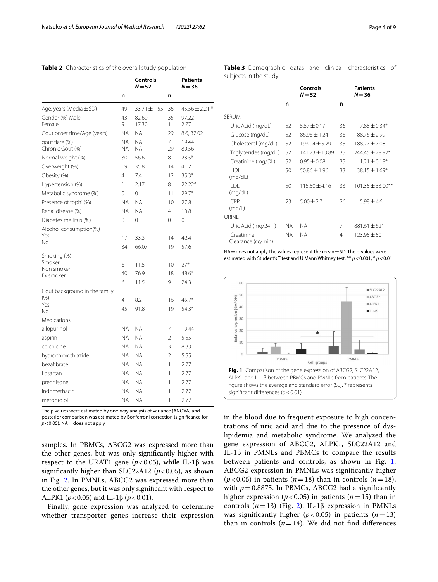### <span id="page-3-0"></span>**Table 2** Characteristics of the overall study population

|                                       |                        | Controls<br>$N = 52$   |                | Patients<br>$N=36$ |
|---------------------------------------|------------------------|------------------------|----------------|--------------------|
|                                       | n                      |                        | n              |                    |
| Age, years (Media $\pm$ SD)           | 49                     | $33.71 \pm 1.55$       | 36             | $45.56 \pm 2.21$ * |
| Gender (%) Male<br>Female             | 43<br>9                | 82.69<br>17.30         | 35<br>1        | 97.22<br>2.77      |
| Gout onset time/Age (years)           | NA                     | <b>NA</b>              | 29             | 8.6, 37.02         |
| qout flare (%)<br>Chronic Gout (%)    | <b>NA</b><br><b>NA</b> | <b>NA</b><br><b>NA</b> | 7<br>29        | 19.44<br>80.56     |
| Normal weight (%)                     | 30                     | 56.6                   | 8              | $23.5*$            |
| Overweight (%)                        | 19                     | 35.8                   | 14             | 41.2               |
| Obesity (%)                           | 4                      | 7.4                    | 12             | $35.3*$            |
| Hypertensión (%)                      | 1                      | 2.17                   | 8              | 22.22*             |
| Metabolic syndrome (%)                | $\Omega$               | $\Omega$               | 11             | $79.7*$            |
| Presence of tophi (%)                 | <b>NA</b>              | <b>NA</b>              | 10             | 27.8               |
| Renal disease (%)                     | NA.                    | <b>NA</b>              | $\overline{4}$ | 10.8               |
| Diabetes mellitus (%)                 | 0                      | $\Omega$               | 0              | $\Omega$           |
| Alcohol consumption(%)<br>Yes<br>No   | 17<br>34               | 33.3<br>66.07          | 14<br>19       | 42.4<br>57.6       |
| Smoking (%)                           |                        |                        |                |                    |
| Smoker                                | 6                      | 11.5                   | 10             | $27*$              |
| Non smoker                            | 40                     | 76.9                   | 18             | $48.6*$            |
| Ex smoker                             | 6                      | 11.5                   | 9              | 24.3               |
| Gout background in the family<br>(% ) | 4                      | 8.2                    | 16             | $45.7*$            |
| Yes                                   | 45                     | 91.8                   | 19             | $54.3*$            |
| No<br>Medications                     |                        |                        |                |                    |
|                                       |                        |                        |                |                    |
| allopurinol                           | NA.                    | <b>NA</b>              | 7              | 19.44              |
| aspirin                               | NA.                    | <b>NA</b>              | $\overline{2}$ | 5.55               |
| colchicine                            | <b>NA</b>              | <b>NA</b>              | 3              | 8.33               |
| hydrochlorothiazide                   | <b>NA</b>              | <b>NA</b>              | $\mathfrak{D}$ | 5.55               |
| bezafibrate                           | <b>NA</b>              | <b>NA</b>              | 1              | 2.77               |
| Losartan                              | NA.                    | <b>NA</b>              | 1              | 2.77               |
| prednisone                            | NA.                    | <b>NA</b>              | 1              | 2.77               |
| indomethacin                          | <b>NA</b>              | <b>NA</b>              | 1              | 2.77               |
| metoprolol                            | <b>NA</b>              | <b>NA</b>              | 1              | 2.77               |

The p values were estimated by one-way analysis of variance (ANOVA) and posterior comparison was estimated by Bonferroni correction (signifcance for  $p$  < 0.05). NA = does not apply

samples. In PBMCs, ABCG2 was expressed more than the other genes, but was only signifcantly higher with respect to the URAT1 gene ( $p$ <0.05), while IL-1β was significantly higher than SLC22A12 ( $p < 0.05$ ), as shown in Fig. [2.](#page-4-0) In PMNLs, ABCG2 was expressed more than the other genes, but it was only signifcant with respect to ALPK1 (*p*<0.05) and IL-1β (*p*<0.01).

Finally, gene expression was analyzed to determine whether transporter genes increase their expression <span id="page-3-1"></span>**Table 3** Demographic datas and clinical characteristics of subjects in the study

|                                  |     | Controls<br>$N = 52$ |    | <b>Patients</b><br>$N = 36$ |
|----------------------------------|-----|----------------------|----|-----------------------------|
|                                  | n   |                      | n  |                             |
| SERUM                            |     |                      |    |                             |
| Uric Acid (mg/dL)                | 52  | $5.57 + 0.17$        | 36 | $7.88 + 0.34*$              |
| Glucose (mg/dL)                  | 52  | $86.96 \pm 1.24$     | 36 | $88.76 + 2.99$              |
| Cholesterol (mg/dL)              | 52  | $193.04 \pm 5.29$    | 35 | $188.27 + 7.08$             |
| Triglycerides (mg/dL)            | 52  | $141.73 \pm 13.89$   | 35 | $744.45 + 78.97*$           |
| Creatinine (mg/DL)               | 52  | $0.95 + 0.08$        | 35 | $1.21 \pm 0.18*$            |
| HDI<br>(mq/dL)                   | 50  | $50.86 \pm 1.96$     | 33 | $38.15 \pm 1.69*$           |
| I DI<br>(mq/dL)                  | 50  | $115.50 + 4.16$      | 33 | $101.35 \pm 33.00***$       |
| CRP<br>(mq/L)                    | 23  | $5.00 \pm 2.7$       | 26 | $5.98 + 4.6$                |
| ORINE                            |     |                      |    |                             |
| Uric Acid (mg/24 h)              | NA. | <b>NA</b>            | 7  | $881.61 \pm 621$            |
| Creatinine<br>Clearance (cc/min) | NA. | ΝA                   | 4  | $123.95 + 50$               |

 $NA =$  does not apply. The values represent the mean  $\pm$  SD. The p-values were estimated with Student's T test and U Mann Whitney test. \*\* *p*<0.001, \* *p*<0.01



<span id="page-3-2"></span>in the blood due to frequent exposure to high concentrations of uric acid and due to the presence of dyslipidemia and metabolic syndrome. We analyzed the gene expression of ABCG2, ALPK1, SLC22A12 and IL-1β in PMNLs and PBMCs to compare the results between patients and controls, as shown in Fig. [1](#page-3-2). ABCG2 expression in PMNLs was signifcantly higher  $(p<0.05)$  in patients  $(n=18)$  than in controls  $(n=18)$ , with  $p = 0.8875$ . In PBMCs, ABCG2 had a significantly higher expression ( $p$  < 0.05) in patients ( $n$  = 15) than in controls (*n*=13) (Fig. [2](#page-4-0)). IL-1β expression in PMNLs was significantly higher  $(p < 0.05)$  in patients  $(n = 13)$ than in controls  $(n=14)$ . We did not find differences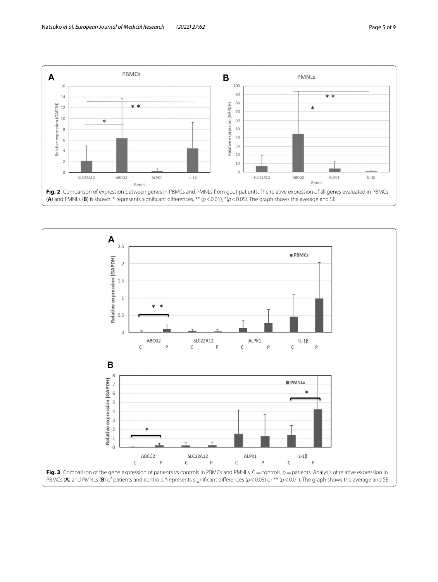ABCG2

ALPK1

SLC22A12



SLC22A12

ALPK1

ABCG2

IL-1 $\beta$ 

<span id="page-4-0"></span>

IL-1 $\beta$ 

<span id="page-4-1"></span>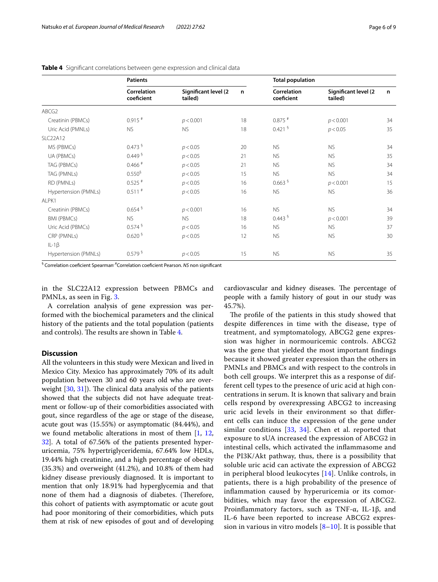|                                     | <b>Patients</b>           |                                 |    | <b>Total population</b>   |                                 |    |  |
|-------------------------------------|---------------------------|---------------------------------|----|---------------------------|---------------------------------|----|--|
|                                     | Correlation<br>coeficient | Significant level (2<br>tailed) | n  | Correlation<br>coeficient | Significant level (2<br>tailed) | n  |  |
| ABCG2                               |                           |                                 |    |                           |                                 |    |  |
| Creatinin (PBMCs)                   | $0.915$ <sup>#</sup>      | p < 0.001                       | 18 | $0.875$ #                 | p < 0.001                       | 34 |  |
| Uric Acid (PMNLs)                   | <b>NS</b>                 | <b>NS</b>                       | 18 | $0.421$ $S$               | p < 0.05                        | 35 |  |
| <b>SLC22A12</b>                     |                           |                                 |    |                           |                                 |    |  |
| MS (PBMCs)                          | 0.473 <sup>5</sup>        | p < 0.05                        | 20 | <b>NS</b>                 | <b>NS</b>                       | 34 |  |
| UA (PBMCs)                          | 0.449 <sup>6</sup>        | p < 0.05                        | 21 | <b>NS</b>                 | NS.                             | 35 |  |
| TAG (PBMCs)                         | $0.466$ <sup>#</sup>      | p < 0.05                        | 21 | <b>NS</b>                 | <b>NS</b>                       | 34 |  |
| TAG (PMNLs)                         | 0.550 <sup>5</sup>        | p < 0.05                        | 15 | <b>NS</b>                 | <b>NS</b>                       | 34 |  |
| RD (PMNLs)                          | $0.525$ #                 | p < 0.05                        | 16 | 0.663 <sup>5</sup>        | p < 0.001                       | 15 |  |
| Hypertension (PMNLs)                | $0.511$ <sup>#</sup>      | p < 0.05                        | 16 | <b>NS</b>                 | <b>NS</b>                       | 36 |  |
| ALPK1                               |                           |                                 |    |                           |                                 |    |  |
| Creatinin (PBMCs)                   | 0.654 <sup>5</sup>        | p < 0.001                       | 16 | <b>NS</b>                 | <b>NS</b>                       | 34 |  |
| <b>BMI (PBMCs)</b>                  | <b>NS</b>                 | <b>NS</b>                       | 18 | 0.443 <sup>5</sup>        | p < 0.001                       | 39 |  |
| Uric Acid (PBMCs)                   | 0.574 <sup>5</sup>        | p < 0.05                        | 16 | <b>NS</b>                 | NS.                             | 37 |  |
| CRP (PMNLs)                         | 0.620 <sup>5</sup>        | p < 0.05                        | 12 | <b>NS</b>                 | <b>NS</b>                       | 30 |  |
| $IL-1\beta$<br>Hypertension (PMNLs) | 0.579 <sup>5</sup>        | p < 0.05                        | 15 | <b>NS</b>                 | <b>NS</b>                       | 35 |  |

<span id="page-5-0"></span>**Table 4** Signifcant correlations between gene expression and clinical data

§ Correlation coefcient Spearman, #Correlation coefcient Pearson. *NS* non signifcant

in the SLC22A12 expression between PBMCs and PMNLs, as seen in Fig. [3](#page-4-1).

A correlation analysis of gene expression was performed with the biochemical parameters and the clinical history of the patients and the total population (patients and controls). The results are shown in Table [4](#page-5-0).

### **Discussion**

All the volunteers in this study were Mexican and lived in Mexico City. Mexico has approximately 70% of its adult population between 30 and 60 years old who are overweight  $[30, 31]$  $[30, 31]$  $[30, 31]$ ). The clinical data analysis of the patients showed that the subjects did not have adequate treatment or follow-up of their comorbidities associated with gout, since regardless of the age or stage of the disease, acute gout was (15.55%) or asymptomatic (84.44%), and we found metabolic alterations in most of them [\[1](#page-7-0), [12](#page-8-11), [32\]](#page-8-23). A total of 67.56% of the patients presented hyperuricemia, 75% hypertriglyceridemia, 67.64% low HDLs, 19.44% high creatinine, and a high percentage of obesity (35.3%) and overweight (41.2%), and 10.8% of them had kidney disease previously diagnosed. It is important to mention that only 18.91% had hyperglycemia and that none of them had a diagnosis of diabetes. (Therefore, this cohort of patients with asymptomatic or acute gout had poor monitoring of their comorbidities, which puts them at risk of new episodes of gout and of developing

cardiovascular and kidney diseases. The percentage of people with a family history of gout in our study was 45.7%).

The profile of the patients in this study showed that despite diferences in time with the disease, type of treatment, and symptomatology, ABCG2 gene expression was higher in normouricemic controls. ABCG2 was the gene that yielded the most important fndings because it showed greater expression than the others in PMNLs and PBMCs and with respect to the controls in both cell groups. We interpret this as a response of different cell types to the presence of uric acid at high concentrations in serum. It is known that salivary and brain cells respond by overexpressing ABCG2 to increasing uric acid levels in their environment so that diferent cells can induce the expression of the gene under similar conditions [\[33](#page-8-24), [34](#page-8-25)]. Chen et al. reported that exposure to sUA increased the expression of ABCG2 in intestinal cells, which activated the infammasome and the PI3K/Akt pathway, thus, there is a possibility that soluble uric acid can activate the expression of ABCG2 in peripheral blood leukocytes [[14\]](#page-8-9). Unlike controls, in patients, there is a high probability of the presence of infammation caused by hyperuricemia or its comorbidities, which may favor the expression of ABCG2. Proinflammatory factors, such as TNF- $\alpha$ , IL-1 $\beta$ , and IL-6 have been reported to increase ABCG2 expression in various in vitro models  $[8-10]$  $[8-10]$  $[8-10]$  $[8-10]$  $[8-10]$ . It is possible that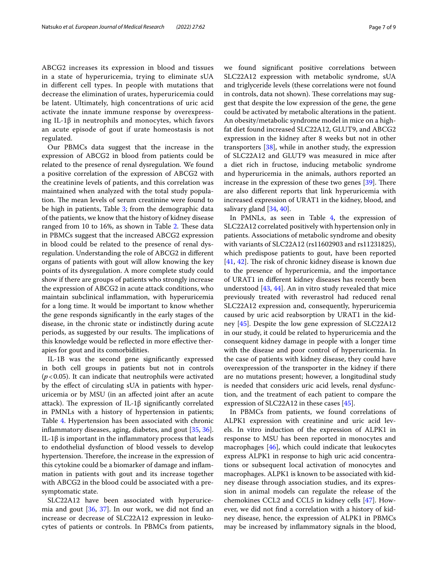ABCG2 increases its expression in blood and tissues in a state of hyperuricemia, trying to eliminate sUA in diferent cell types. In people with mutations that decrease the elimination of urates, hyperuricemia could be latent. Ultimately, high concentrations of uric acid activate the innate immune response by overexpressing IL-1β in neutrophils and monocytes, which favors an acute episode of gout if urate homeostasis is not regulated.

Our PBMCs data suggest that the increase in the expression of ABCG2 in blood from patients could be related to the presence of renal dysregulation. We found a positive correlation of the expression of ABCG2 with the creatinine levels of patients, and this correlation was maintained when analyzed with the total study population. The mean levels of serum creatinine were found to be high in patients, Table [3;](#page-3-1) from the demographic data of the patients, we know that the history of kidney disease ranged from 10 to 16%, as shown in Table  $2$ . These data in PBMCs suggest that the increased ABCG2 expression in blood could be related to the presence of renal dysregulation. Understanding the role of ABCG2 in diferent organs of patients with gout will allow knowing the key points of its dysregulation. A more complete study could show if there are groups of patients who strongly increase the expression of ABCG2 in acute attack conditions, who maintain subclinical infammation, with hyperuricemia for a long time. It would be important to know whether the gene responds signifcantly in the early stages of the disease, in the chronic state or indistinctly during acute periods, as suggested by our results. The implications of this knowledge would be refected in more efective therapies for gout and its comorbidities.

IL-1B was the second gene signifcantly expressed in both cell groups in patients but not in controls (*p*<0.05). It can indicate that neutrophils were activated by the efect of circulating sUA in patients with hyperuricemia or by MSU (in an afected joint after an acute attack). The expression of IL-1 $\beta$  significantly correlated in PMNLs with a history of hypertension in patients; Table [4](#page-5-0). Hypertension has been associated with chronic infammatory diseases, aging, diabetes, and gout [[35,](#page-8-27) [36](#page-8-28)]. IL-1β is important in the infammatory process that leads to endothelial dysfunction of blood vessels to develop hypertension. Therefore, the increase in the expression of this cytokine could be a biomarker of damage and infammation in patients with gout and its increase together with ABCG2 in the blood could be associated with a presymptomatic state.

SLC22A12 have been associated with hyperuricemia and gout [[36,](#page-8-28) [37](#page-8-29)]. In our work, we did not fnd an increase or decrease of SLC22A12 expression in leukocytes of patients or controls. In PBMCs from patients, we found signifcant positive correlations between SLC22A12 expression with metabolic syndrome, sUA and triglyceride levels (these correlations were not found in controls, data not shown). These correlations may suggest that despite the low expression of the gene, the gene could be activated by metabolic alterations in the patient. An obesity/metabolic syndrome model in mice on a highfat diet found increased SLC22A12, GLUT9, and ABCG2 expression in the kidney after 8 weeks but not in other transporters [[38](#page-8-30)], while in another study, the expression of SLC22A12 and GLUT9 was measured in mice after a diet rich in fructose, inducing metabolic syndrome and hyperuricemia in the animals, authors reported an increase in the expression of these two genes  $[39]$  $[39]$ . There are also diferent reports that link hyperuricemia with increased expression of URAT1 in the kidney, blood, and salivary gland [\[34](#page-8-25), [40](#page-8-32)].

In PMNLs, as seen in Table [4,](#page-5-0) the expression of SLC22A12 correlated positively with hypertension only in patients. Associations of metabolic syndrome and obesity with variants of SLC22A12 (rs11602903 and rs11231825), which predispose patients to gout, have been reported  $[41, 42]$  $[41, 42]$  $[41, 42]$  $[41, 42]$ . The risk of chronic kidney disease is known due to the presence of hyperuricemia, and the importance of URAT1 in diferent kidney diseases has recently been understood [[43,](#page-8-35) [44](#page-8-36)]. An in vitro study revealed that mice previously treated with reverastrol had reduced renal SLC22A12 expression and, consequently, hyperuricemia caused by uric acid reabsorption by URAT1 in the kidney [[45\]](#page-8-37). Despite the low gene expression of SLC22A12 in our study, it could be related to hyperuricemia and the consequent kidney damage in people with a longer time with the disease and poor control of hyperuricemia. In the case of patients with kidney disease, they could have overexpression of the transporter in the kidney if there are no mutations present; however, a longitudinal study is needed that considers uric acid levels, renal dysfunction, and the treatment of each patient to compare the expression of SLC22A12 in these cases [[45\]](#page-8-37).

In PBMCs from patients, we found correlations of ALPK1 expression with creatinine and uric acid levels. In vitro induction of the expression of ALPK1 in response to MSU has been reported in monocytes and macrophages [[46\]](#page-8-38), which could indicate that leukocytes express ALPK1 in response to high uric acid concentrations or subsequent local activation of monocytes and macrophages. ALPK1 is known to be associated with kidney disease through association studies, and its expression in animal models can regulate the release of the chemokines CCL2 and CCL5 in kidney cells [[47\]](#page-8-39). However, we did not fnd a correlation with a history of kidney disease, hence, the expression of ALPK1 in PBMCs may be increased by infammatory signals in the blood,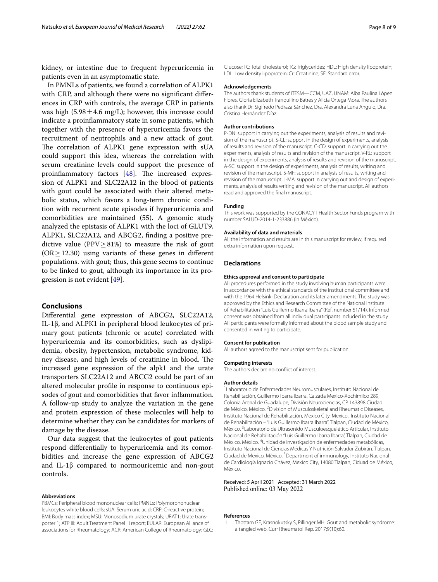kidney, or intestine due to frequent hyperuricemia in patients even in an asymptomatic state.

In PMNLs of patients, we found a correlation of ALPK1 with CRP, and although there were no signifcant diferences in CRP with controls, the average CRP in patients was high (5.98 $\pm$ 4.6 mg/L); however, this increase could indicate a proinfammatory state in some patients, which together with the presence of hyperuricemia favors the recruitment of neutrophils and a new attack of gout. The correlation of ALPK1 gene expression with sUA could support this idea, whereas the correlation with serum creatinine levels could support the presence of proinflammatory factors  $[48]$  $[48]$ . The increased expression of ALPK1 and SLC22A12 in the blood of patients with gout could be associated with their altered metabolic status, which favors a long-term chronic condition with recurrent acute episodes if hyperuricemia and comorbidities are maintained (55). A genomic study analyzed the epistasis of ALPK1 with the loci of GLUT9, ALPK1, SLC22A12, and ABCG2, fnding a positive predictive value (PPV $\geq$ 81%) to measure the risk of gout  $(OR \ge 12.30)$  using variants of these genes in different populations. with gout; thus, this gene seems to continue to be linked to gout, although its importance in its progression is not evident [[49](#page-8-41)].

### **Conclusions**

Diferential gene expression of ABCG2, SLC22A12, IL-1β, and ALPK1 in peripheral blood leukocytes of primary gout patients (chronic or acute) correlated with hyperuricemia and its comorbidities, such as dyslipidemia, obesity, hypertension, metabolic syndrome, kidney disease, and high levels of creatinine in blood. The increased gene expression of the alpk1 and the urate transporters SLC22A12 and ABCG2 could be part of an altered molecular profle in response to continuous episodes of gout and comorbidities that favor infammation. A follow-up study to analyze the variation in the gene and protein expression of these molecules will help to determine whether they can be candidates for markers of damage by the disease.

Our data suggest that the leukocytes of gout patients respond diferentially to hyperuricemia and its comorbidities and increase the gene expression of ABCG2 and IL-1β compared to normouricemic and non-gout controls.

#### **Abbreviations**

PBMCs: Peripheral blood mononuclear cells; PMNLs: Polymorphonuclear leukocytes white blood cells; sUA: Serum uric acid; CRP: C-reactive protein; BMI: Body mass index; MSU: Monosodium urate crystals; URAT1: Urate transporter 1; ATP III: Adult Treatment Panel III report; EULAR: European Alliance of associations for Rheumatology; ACR: American College of Rheumatology; GLC: Glucose; TC: Total cholesterol; TG: Triglycerides; HDL: High density lipoprotein; LDL: Low density lipoprotein; Cr: Creatinine; SE: Standard error.

#### **Acknowledgements**

The authors thank students of ITESM—CCM, UAZ, UNAM: Alba Paulina López Flores, Gloria Elizabeth Tranquilino Batres y Alicia Ortega Mora. The authors also thank Dr. Sigifredo Pedraza Sánchez, Dra. Alexandra Luna Angulo, Dra. Cristina Hernández Díaz.

#### **Author contributions**

P-DN: support in carrying out the experiments, analysis of results and revision of the manuscript. S-CL: support in the design of experiments, analysis of results and revision of the manuscript. C-CD: support in carrying out the experiments, analysis of results and revision of the manuscript. V-RL: support in the design of experiments, analysis of results and revision of the manuscript. A-SC: support in the design of experiments, analysis of results, writing and revision of the manuscript. S-MF: support in analysis of results, writing and revision of the manuscript. L-MA: support in carrying out and design of experiments, analysis of results writing and revision of the manuscript. All authors read and approved the fnal manuscript.

#### **Funding**

This work was supported by the CONACYT Health Sector Funds program with number SALUD-2014-1-233886 (in México).

#### **Availability of data and materials**

All the information and results are in this manuscript for review, if required extra information upon request.

#### **Declarations**

#### **Ethics approval and consent to participate**

All procedures performed in the study involving human participants were in accordance with the ethical standards of the institutional committee and with the 1964 Helsinki Declaration and its later amendments. The study was approved by the Ethics and Research Committee of the National Institute of Rehabilitation "Luis Guillermo Ibarra Ibarra" (Ref. number 51/14). Informed consent was obtained from all individual participants included in the study. All participants were formally informed about the blood sample study and consented in writing to participate.

#### **Consent for publication**

All authors agreed to the manuscript sent for publication.

## **Competing interests**

The authors declare no confict of interest.

#### **Author details**

1 Laboratorio de Enfermedades Neuromusculares, Instituto Nacional de Rehabilitación, Guillermo Ibarra Ibarra. Calzada Mexico-Xochimilco 289, Colonia Arenal de Guadalupe, División Neurociencias, CP 143898 Ciudad de México, México. <sup>2</sup> Division of Musculoskeletal and Rheumatic Diseases, Instituto Nacional de Rehabilitación, Mexico City, Mexico., Instituto Nacional de Rehabilitación – "Luis Guillermo Ibarra Ibarra". Tlalpan, Ciudad de México, México.<sup>3</sup> Laboratorio de Ultrasonido Musculoesquelético Articular, Instituto Nacional de Rehabilitación "Luis Guillermo Ibarra Ibarra", Tlalpan, Ciudad de México, México. 4 Unidad de investigación de enfermedades metabólicas, Instituto Nacional de Ciencias Médicas Y Nutrición Salvador Zubirán. Tlalpan, Ciudad de Mexico, México.<sup>5</sup> Department of immunology, Instituto Nacional de Cardiología Ignacio Chávez, Mexico City, 14080 Tlalpan, Ciduad de México, México.

#### Received: 5 April 2021 Accepted: 31 March 2022 Published online: 03 May 2022

#### **References**

<span id="page-7-0"></span>1. Thottam GE, Krasnokutsky S, Pillinger MH. Gout and metabolic syndrome: a tangled web. Curr Rheumatol Rep. 2017;9(10):60.